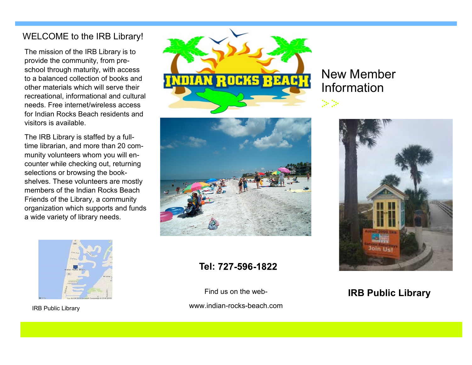### WELCOME to the IRB Library!

The mission of the IRB Library is to provide the community, from preschool through maturity, with access to a balanced collection of books and other materials which will serve their recreational, informational and cultural needs. Free internet/wireless access for Indian Rocks Beach residents and visitors is available.

The IRB Library is staffed by a fulltime librarian, and more than 20 community volunteers whom you will encounter while checking out, returning selections or browsing the bookshelves. These volunteers are mostly members of the Indian Rocks Beach Friends of the Library, a community organization which supports and funds a wide variety of library needs.



IRB Public Library





### **Tel:**

Find us on the web-

www.indian-rocks-beach.com

# New Member Information

¦}- }}-



### **IRB Public Library**